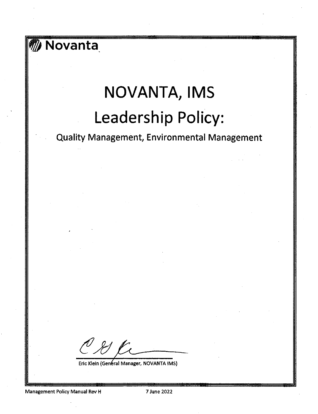# Movanta

# NOVANTA, IMS Leadership Policy:

**Quality Management, Environmental Management** 

O & R

Eric Klein (General Manager, NOVANTA IMS)

Management Policy Manual Rev H

7 June 2022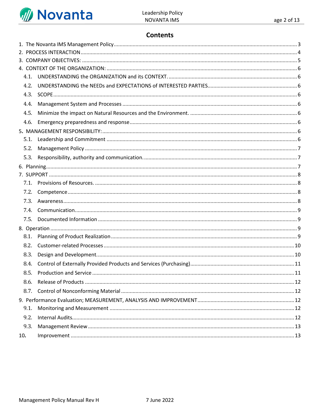

# **Contents**

| 4.4. |  |  |  |  |  |
|------|--|--|--|--|--|
| 4.5. |  |  |  |  |  |
| 4.6. |  |  |  |  |  |
|      |  |  |  |  |  |
|      |  |  |  |  |  |
| 5.2. |  |  |  |  |  |
| 5.3. |  |  |  |  |  |
|      |  |  |  |  |  |
|      |  |  |  |  |  |
|      |  |  |  |  |  |
|      |  |  |  |  |  |
|      |  |  |  |  |  |
| 7.4. |  |  |  |  |  |
| 7.5. |  |  |  |  |  |
|      |  |  |  |  |  |
| 8.1. |  |  |  |  |  |
| 8.2. |  |  |  |  |  |
| 8.3. |  |  |  |  |  |
|      |  |  |  |  |  |
| 8.5. |  |  |  |  |  |
|      |  |  |  |  |  |
|      |  |  |  |  |  |
|      |  |  |  |  |  |
| 9.1. |  |  |  |  |  |
| 9.2. |  |  |  |  |  |
| 9.3. |  |  |  |  |  |
| 10.  |  |  |  |  |  |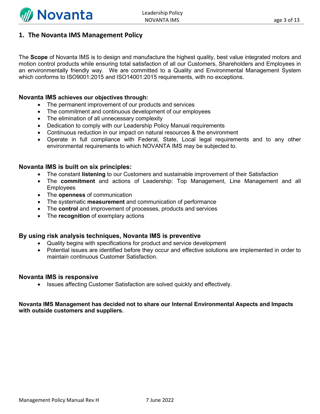

#### <span id="page-2-0"></span>**1. The Novanta IMS Management Policy**

The **Scope** of Novanta IMS is to design and manufacture the highest quality, best value integrated motors and motion control products while ensuring total satisfaction of all our Customers, Shareholders and Employees in an environmentally friendly way. We are committed to a Quality and Environmental Management System which conforms to ISO9001:2015 and ISO14001:2015 requirements, with no exceptions.

#### **Novanta IMS achieves our objectives through:**

- The permanent improvement of our products and services
- The commitment and continuous development of our employees
- The elimination of all unnecessary complexity
- Dedication to comply with our Leadership Policy Manual requirements
- Continuous reduction in our impact on natural resources & the environment
- Operate in full compliance with Federal, State, Local legal requirements and to any other environmental requirements to which NOVANTA IMS may be subjected to.

#### **Novanta IMS is built on six principles:**

- The constant **listening** to our Customers and sustainable improvement of their Satisfaction
- The **commitment** and actions of Leadership: Top Management, Line Management and all Employees
- The **openness** of communication
- The systematic **measurement** and communication of performance
- The **control** and improvement of processes, products and services
- The **recognition** of exemplary actions

#### **By using risk analysis techniques, Novanta IMS is preventive**

- Quality begins with specifications for product and service development
- Potential issues are identified before they occur and effective solutions are implemented in order to maintain continuous Customer Satisfaction.

#### **Novanta IMS is responsive**

• Issues affecting Customer Satisfaction are solved quickly and effectively.

#### **Novanta IMS Management has decided not to share our Internal Environmental Aspects and Impacts with outside customers and suppliers.**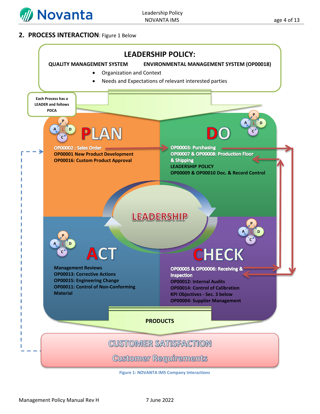

#### <span id="page-3-0"></span>**2. PROCESS INTERACTION**: Figure 1 Below

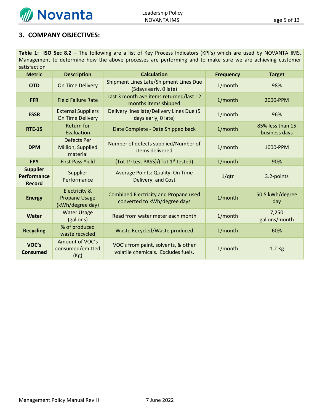

## <span id="page-4-0"></span>**3. COMPANY OBJECTIVES:**

**Table 1: ISO Sec 8.2 –** The following are a list of Key Process Indicators (KPI's) which are used by NOVANTA IMS, Management to determine how the above processes are performing and to make sure we are achieving customer satisfaction

| <b>Metric</b>                                          | <b>Description</b>                                                   | <b>Calculation</b>                                                         | <b>Frequency</b> | <b>Target</b>                     |
|--------------------------------------------------------|----------------------------------------------------------------------|----------------------------------------------------------------------------|------------------|-----------------------------------|
| <b>OTD</b>                                             | On Time Delivery                                                     | Shipment Lines Late/Shipment Lines Due<br>(5 days early, 0 late)           | 1/month          | 98%                               |
| <b>FFR</b>                                             | <b>Field Failure Rate</b>                                            | Last 3 month ave items returned/last 12<br>months items shipped            | 1/month          | 2000-PPM                          |
| <b>ESSR</b>                                            | <b>External Suppliers</b><br>On Time Delivery                        | Delivery lines late/Delivery Lines Due (5<br>days early, 0 late)           | 1/month          | 96%                               |
| <b>RTE-15</b>                                          | Return for<br>Evaluation                                             | Date Complete - Date Shipped back                                          | 1/month          | 85% less than 15<br>business days |
| <b>DPM</b>                                             | <b>Defects Per</b><br>Million, Supplied<br>material                  | Number of defects supplied/Number of<br>items delivered                    | 1/month          | 1000-PPM                          |
| <b>FPY</b>                                             | <b>First Pass Yield</b>                                              | (Tot 1 <sup>st</sup> test PASS)/(Tot 1 <sup>st</sup> tested)               | 1/month          | 90%                               |
| <b>Supplier</b><br><b>Performance</b><br><b>Record</b> | Supplier<br>Performance                                              | Average Points: Quality, On Time<br>Delivery, and Cost                     | 1/qtr            | 3.2-points                        |
| <b>Energy</b>                                          | <b>Electricity &amp;</b><br><b>Propane Usage</b><br>(kWh/degree day) | Combined Electricity and Propane used<br>converted to kWh/degree days      | 1/month          | 50.5 kWh/degree<br>day            |
| <b>Water</b>                                           | <b>Water Usage</b><br>(gallons)                                      | Read from water meter each month                                           | 1/month          | 7,250<br>gallons/month            |
| <b>Recycling</b>                                       | % of produced<br>waste recycled                                      | Waste Recycled/Waste produced                                              | 1/month          | 60%                               |
| VOC's<br><b>Consumed</b>                               | Amount of VOC's<br>consumed/emitted<br>(Kg)                          | VOC's from paint, solvents, & other<br>volatile chemicals. Excludes fuels. | 1/month          | $1.2$ Kg                          |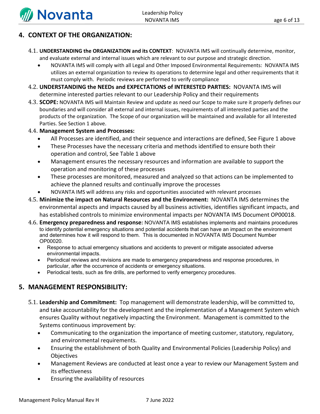

# <span id="page-5-0"></span>**4. CONTEXT OF THE ORGANIZATION:**

- <span id="page-5-1"></span>4.1. **UNDERSTANDING the ORGANIZATION and its CONTEXT**: NOVANTA IMS will continually determine, monitor, and evaluate external and internal issues which are relevant to our purpose and strategic direction.
	- NOVANTA IMS will comply with all Legal and Other Imposed Environmental Requirements: NOVANTA IMS utilizes an external organization to review its operations to determine legal and other requirements that it must comply with. Periodic reviews are performed to verify compliance
- <span id="page-5-2"></span>4.2. **UNDERSTANDING the NEEDs and EXPECTATIONS of INTERESTED PARTIES:** NOVANTA IMS will determine interested parties relevant to our Leadership Policy and their requirements
- <span id="page-5-3"></span>4.3. **SCOPE:** NOVANTA IMS will Maintain Review and update as need our Scope to make sure it properly defines our boundaries and will consider all external and internal issues, requirements of all interested parties and the products of the organization. The Scope of our organization will be maintained and available for all Interested Parties. See Section 1 above.
- <span id="page-5-4"></span>4.4. **Management System and Processes:**
	- All Processes are identified, and their sequence and interactions are defined, See Figure 1 above
	- These Processes have the necessary criteria and methods identified to ensure both their operation and control, See Table 1 above
	- Management ensures the necessary resources and information are available to support the operation and monitoring of these processes
	- These processes are monitored, measured and analyzed so that actions can be implemented to achieve the planned results and continually improve the processes
	- NOVANTA IMS will address any risks and opportunities associated with relevant processes
- <span id="page-5-5"></span>4.5. **Minimize the impact on Natural Resources and the Environment:** NOVANTA IMS determines the environmental aspects and impacts caused by all business activities, identifies significant impacts, and has established controls to minimize environmental impacts per NOVANTA IMS Document OP00018.
- <span id="page-5-6"></span>4.6. **Emergency preparedness and response:** NOVANTA IMS establishes implements and maintains procedures to identify potential emergency situations and potential accidents that can have an impact on the environment and determines how it will respond to them. This is documented in NOVANTA IMS Document Number OP00020.
	- Response to actual emergency situations and accidents to prevent or mitigate associated adverse environmental impacts.
	- Periodical reviews and revisions are made to emergency preparedness and response procedures, in particular, after the occurrence of accidents or emergency situations.
	- Periodical tests, such as fire drills, are performed to verify emergency procedures.

#### <span id="page-5-7"></span>**5. MANAGEMENT RESPONSIBILITY:**

- <span id="page-5-8"></span>5.1. **Leadership and Commitment:** Top management will demonstrate leadership, will be committed to, and take accountability for the development and the implementation of a Management System which ensures Quality without negatively impacting the Environment. Management is committed to the Systems continuous improvement by:
	- Communicating to the organization the importance of meeting customer, statutory, regulatory, and environmental requirements.
	- Ensuring the establishment of both Quality and Environmental Policies (Leadership Policy) and **Objectives**
	- Management Reviews are conducted at least once a year to review our Management System and its effectiveness
	- Ensuring the availability of resources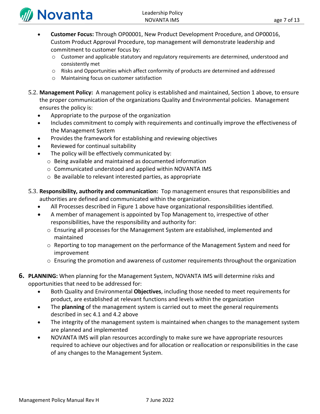

- **Customer Focus:** Through OP00001, New Product Development Procedure, and OP00016, Custom Product Approval Procedure, top management will demonstrate leadership and commitment to customer focus by:
	- o Customer and applicable statutory and regulatory requirements are determined, understood and consistently met
	- o Risks and Opportunities which affect conformity of products are determined and addressed
	- o Maintaining focus on customer satisfaction
- <span id="page-6-0"></span>5.2. **Management Policy:** A management policy is established and maintained, Section 1 above, to ensure the proper communication of the organizations Quality and Environmental policies. Management ensures the policy is:
	- Appropriate to the purpose of the organization
	- Includes commitment to comply with requirements and continually improve the effectiveness of the Management System
	- Provides the framework for establishing and reviewing objectives
	- Reviewed for continual suitability
	- The policy will be effectively communicated by:
		- o Being available and maintained as documented information
		- o Communicated understood and applied within NOVANTA IMS
		- o Be available to relevant interested parties, as appropriate
- <span id="page-6-1"></span>5.3. **Responsibility, authority and communication:** Top management ensures that responsibilities and authorities are defined and communicated within the organization.
	- All Processes described in Figure 1 above have organizational responsibilities identified.
	- A member of management is appointed by Top Management to, irrespective of other responsibilities, have the responsibility and authority for:
		- $\circ$  Ensuring all processes for the Management System are established, implemented and maintained
		- $\circ$  Reporting to top management on the performance of the Management System and need for improvement
		- $\circ$  Ensuring the promotion and awareness of customer requirements throughout the organization
- <span id="page-6-2"></span>**6. PLANNING:** When planning for the Management System, NOVANTA IMS will determine risks and opportunities that need to be addressed for:
	- Both Quality and Environmental **Objectives**, including those needed to meet requirements for product, are established at relevant functions and levels within the organization
	- The **planning** of the management system is carried out to meet the general requirements described in sec 4.1 and 4.2 above
	- The integrity of the management system is maintained when changes to the management system are planned and implemented
	- NOVANTA IMS will plan resources accordingly to make sure we have appropriate resources required to achieve our objectives and for allocation or reallocation or responsibilities in the case of any changes to the Management System.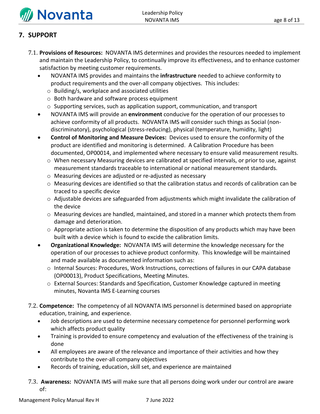

# <span id="page-7-0"></span>**7. SUPPORT**

- <span id="page-7-1"></span>7.1. **Provisions of Resources:** NOVANTA IMS determines and provides the resources needed to implement and maintain the Leadership Policy, to continually improve its effectiveness, and to enhance customer satisfaction by meeting customer requirements.
	- NOVANTA IMS provides and maintains the **infrastructure** needed to achieve conformity to product requirements and the over-all company objectives. This includes:
		- o Building/s, workplace and associated utilities
		- o Both hardware and software process equipment
		- o Supporting services, such as application support, communication, and transport
	- NOVANTA IMS will provide an **environment** conducive for the operation of our processes to achieve conformity of all products. NOVANTA IMS will consider such things as Social (nondiscriminatory), psychological (stress-reducing), physical (temperature, humidity, light)
	- **Control of Monitoring and Measure Devices:** Devices used to ensure the conformity of the product are identified and monitoring is determined. A Calibration Procedure has been documented, OP00014, and implemented where necessary to ensure valid measurement results.
		- o When necessary Measuring devices are calibrated at specified intervals, or prior to use, against measurement standards traceable to international or national measurement standards.
		- o Measuring devices are adjusted or re-adjusted as necessary
		- o Measuring devices are identified so that the calibration status and records of calibration can be traced to a specific device
		- $\circ$  Adjustable devices are safeguarded from adjustments which might invalidate the calibration of the device
		- $\circ$  Measuring devices are handled, maintained, and stored in a manner which protects them from damage and deterioration.
		- $\circ$  Appropriate action is taken to determine the disposition of any products which may have been built with a device which is found to excide the calibration limits.
	- **Organizational Knowledge:** NOVANTA IMS will determine the knowledge necessary for the operation of our processes to achieve product conformity. This knowledge will be maintained and made available as documented information such as:
		- o Internal Sources: Procedures, Work Instructions, corrections of failures in our CAPA database (OP00013), Product Specifications, Meeting Minutes.
		- o External Sources: Standards and Specification, Customer Knowledge captured in meeting minutes, Novanta IMS E-Learning courses
- <span id="page-7-2"></span>7.2. **Competence:** The competency of all NOVANTA IMS personnel is determined based on appropriate education, training, and experience.
	- Job descriptions are used to determine necessary competence for personnel performing work which affects product quality
	- Training is provided to ensure competency and evaluation of the effectiveness of the training is done
	- All employees are aware of the relevance and importance of their activities and how they contribute to the over-all company objectives
	- Records of training, education, skill set, and experience are maintained
- <span id="page-7-3"></span>7.3. **Awareness:** NOVANTA IMS will make sure that all persons doing work under our control are aware of: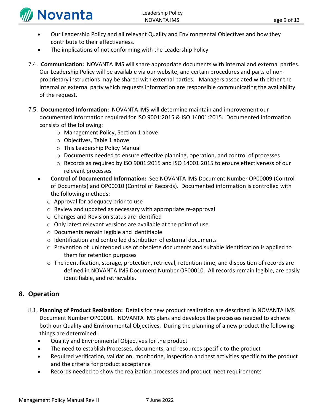

- Our Leadership Policy and all relevant Quality and Environmental Objectives and how they contribute to their effectiveness.
- The implications of not conforming with the Leadership Policy
- <span id="page-8-0"></span>7.4. **Communication:** NOVANTA IMS will share appropriate documents with internal and external parties. Our Leadership Policy will be available via our website, and certain procedures and parts of nonproprietary instructions may be shared with external parties. Managers associated with either the internal or external party which requests information are responsible communicating the availability of the request.
- <span id="page-8-1"></span>7.5. **Documented Information:** NOVANTA IMS will determine maintain and improvement our documented information required for ISO 9001:2015 & ISO 14001:2015. Documented information consists of the following:
	- o Management Policy, Section 1 above
	- o Objectives, Table 1 above
	- o This Leadership Policy Manual
	- $\circ$  Documents needed to ensure effective planning, operation, and control of processes
	- o Records as required by ISO 9001:2015 and ISO 14001:2015 to ensure effectiveness of our relevant processes
	- **Control of Documented Information:** See NOVANTA IMS Document Number OP00009 (Control of Documents) and OP00010 (Control of Records). Documented information is controlled with the following methods:
		- o Approval for adequacy prior to use
		- o Review and updated as necessary with appropriate re-approval
		- o Changes and Revision status are identified
		- o Only latest relevant versions are available at the point of use
		- o Documents remain legible and identifiable
		- o Identification and controlled distribution of external documents
		- o Prevention of unintended use of obsolete documents and suitable identification is applied to them for retention purposes
		- $\circ$  The identification, storage, protection, retrieval, retention time, and disposition of records are defined in NOVANTA IMS Document Number OP00010. All records remain legible, are easily identifiable, and retrievable.

# <span id="page-8-2"></span>**8. Operation**

- <span id="page-8-3"></span>8.1. **Planning of Product Realization:** Details for new product realization are described in NOVANTA IMS Document Number OP00001. NOVANTA IMS plans and develops the processes needed to achieve both our Quality and Environmental Objectives. During the planning of a new product the following things are determined:
	- Quality and Environmental Objectives for the product
	- The need to establish Processes, documents, and resources specific to the product
	- Required verification, validation, monitoring, inspection and test activities specific to the product and the criteria for product acceptance
	- Records needed to show the realization processes and product meet requirements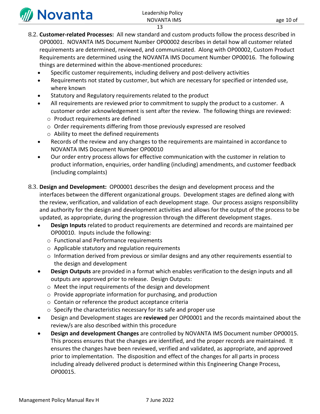

- <span id="page-9-0"></span>8.2. **Customer-related Processes:** All new standard and custom products follow the process described in OP00001. NOVANTA IMS Document Number OP00002 describes in detail how all customer related requirements are determined, reviewed, and communicated. Along with OP00002, Custom Product Requirements are determined using the NOVANTA IMS Document Number OP00016. The following things are determined within the above-mentioned procedures:
	- Specific customer requirements, including delivery and post-delivery activities
	- Requirements not stated by customer, but which are necessary for specified or intended use, where known
	- Statutory and Regulatory requirements related to the product
	- All requirements are reviewed prior to commitment to supply the product to a customer. A customer order acknowledgement is sent after the review. The following things are reviewed:
		- o Product requirements are defined
		- o Order requirements differing from those previously expressed are resolved
		- o Ability to meet the defined requirements
	- Records of the review and any changes to the requirements are maintained in accordance to NOVANTA IMS Document Number OP00010
	- Our order entry process allows for effective communication with the customer in relation to product information, enquiries, order handling (including) amendments, and customer feedback (including complaints)
- <span id="page-9-1"></span>8.3. **Design and Development:** OP00001 describes the design and development process and the interfaces between the different organizational groups. Development stages are defined along with the review, verification, and validation of each development stage. Our process assigns responsibility and authority for the design and development activities and allows for the output of the process to be updated, as appropriate, during the progression through the different development stages.
	- **Design Inputs** related to product requirements are determined and records are maintained per OP00010. Inputs include the following:
		- o Functional and Performance requirements
		- o Applicable statutory and regulation requirements
		- o Information derived from previous or similar designs and any other requirements essential to the design and development
	- **Design Outputs** are provided in a format which enables verification to the design inputs and all outputs are approved prior to release. Design Outputs:
		- o Meet the input requirements of the design and development
		- o Provide appropriate information for purchasing, and production
		- o Contain or reference the product acceptance criteria
		- o Specify the characteristics necessary for its safe and proper use
	- Design and Development stages are **reviewed** per OP00001 and the records maintained about the review/s are also described within this procedure
	- **Design and development Changes** are controlled by NOVANTA IMS Document number OP00015. This process ensures that the changes are identified, and the proper records are maintained. It ensures the changes have been reviewed, verified and validated, as appropriate, and approved prior to implementation. The disposition and effect of the changes for all parts in process including already delivered product is determined within this Engineering Change Process, OP00015.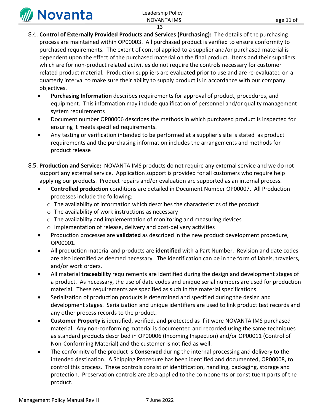

# Leadership Policy

- 13
- <span id="page-10-0"></span>8.4. **Control of Externally Provided Products and Services (Purchasing):** The details of the purchasing process are maintained within OP00003. All purchased product is verified to ensure conformity to purchased requirements. The extent of control applied to a supplier and/or purchased material is dependent upon the effect of the purchased material on the final product. Items and their suppliers which are for non-product related activities do not require the controls necessary for customer related product material. Production suppliers are evaluated prior to use and are re-evaluated on a quarterly interval to make sure their ability to supply product is in accordance with our company objectives.
	- **Purchasing Information** describes requirements for approval of product, procedures, and equipment. This information may include qualification of personnel and/or quality management system requirements
	- Document number OP00006 describes the methods in which purchased product is inspected for ensuring it meets specified requirements.
	- Any testing or verification intended to be performed at a supplier's site is stated as product requirements and the purchasing information includes the arrangements and methods for product release
- <span id="page-10-1"></span>8.5. **Production and Service:** NOVANTA IMS products do not require any external service and we do not support any external service. Application support is provided for all customers who require help applying our products. Product repairs and/or evaluation are supported as an internal process.
	- **Controlled production** conditions are detailed in Document Number OP00007. All Production processes include the following:
		- o The availability of information which describes the characteristics of the product
		- $\circ$  The availability of work instructions as necessary
		- o The availability and implementation of monitoring and measuring devices
		- o Implementation of release, delivery and post-delivery activities
	- Production processes are **validated** as described in the new product development procedure, OP00001.
	- All production material and products are **identified** with a Part Number. Revision and date codes are also identified as deemed necessary. The identification can be in the form of labels, travelers, and/or work orders.
	- All material **traceability** requirements are identified during the design and development stages of a product. As necessary, the use of date codes and unique serial numbers are used for production material. These requirements are specified as such in the material specifications.
	- Serialization of production products is determined and specified during the design and development stages. Serialization and unique identifiers are used to link product test records and any other process records to the product.
	- **Customer Property** is identified, verified, and protected as if it were NOVANTA IMS purchased material. Any non-conforming material is documented and recorded using the same techniques as standard products described in OP00006 (Incoming Inspection) and/or OP00011 (Control of Non-Conforming Material) and the customer is notified as well.
	- The conformity of the product is **Conserved** during the internal processing and delivery to the intended destination. A Shipping Procedure has been identified and documented, OP00008, to control this process. These controls consist of identification, handling, packaging, storage and protection. Preservation controls are also applied to the components or constituent parts of the product.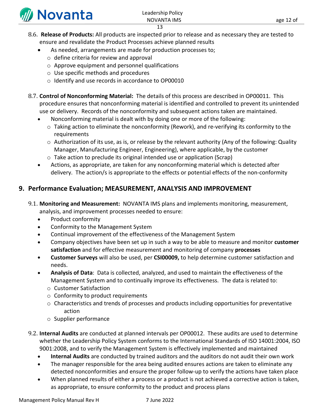

<span id="page-11-0"></span>8.6. **Release of Products:** All products are inspected prior to release and as necessary they are tested to ensure and revalidate the Product Processes achieve planned results

13

- As needed, arrangements are made for production processes to;
	- o define criteria for review and approval
- o Approve equipment and personnel qualifications
- o Use specific methods and procedures
- o Identify and use records in accordance to OP00010
- <span id="page-11-1"></span>8.7. **Control of Nonconforming Material:** The details of this process are described in OP00011. This procedure ensures that nonconforming material is identified and controlled to prevent its unintended use or delivery. Records of the nonconformity and subsequent actions taken are maintained.
	- Nonconforming material is dealt with by doing one or more of the following:
	- o Taking action to eliminate the nonconformity (Rework), and re-verifying its conformity to the requirements
	- $\circ$  Authorization of its use, as is, or release by the relevant authority (Any of the following: Quality Manager, Manufacturing Engineer, Engineering), where applicable, by the customer
	- o Take action to preclude its original intended use or application (Scrap)
	- Actions, as appropriate, are taken for any nonconforming material which is detected after delivery. The action/s is appropriate to the effects or potential effects of the non-conformity

# <span id="page-11-2"></span>**9. Performance Evaluation; MEASUREMENT, ANALYSIS AND IMPROVEMENT**

- <span id="page-11-3"></span>9.1. **Monitoring and Measurement:** NOVANTA IMS plans and implements monitoring, measurement, analysis, and improvement processes needed to ensure:
	- Product conformity
	- Conformity to the Management System
	- Continual improvement of the effectiveness of the Management System
	- Company objectives have been set up in such a way to be able to measure and monitor **customer satisfaction** and for effective measurement and monitoring of company **processes**
	- **Customer Surveys** will also be used, per **CSI00009,** to help determine customer satisfaction and needs.
	- **Analysis of Data**: Data is collected, analyzed, and used to maintain the effectiveness of the Management System and to continually improve its effectiveness. The data is related to:
		- o Customer Satisfaction
		- o Conformity to product requirements
		- $\circ$  Characteristics and trends of processes and products including opportunities for preventative action
		- o Supplier performance
- <span id="page-11-4"></span>9.2. **Internal Audits** are conducted at planned intervals per OP00012. These audits are used to determine whether the Leadership Policy System conforms to the International Standards of ISO 14001:2004, ISO 9001:2008, and to verify the Management System is effectively implemented and maintained
	- **Internal Audits** are conducted by trained auditors and the auditors do not audit their own work
	- The manager responsible for the area being audited ensures actions are taken to eliminate any detected nonconformities and ensure the proper follow-up to verify the actions have taken place
	- When planned results of either a process or a product is not achieved a corrective action is taken, as appropriate, to ensure conformity to the product and process plans